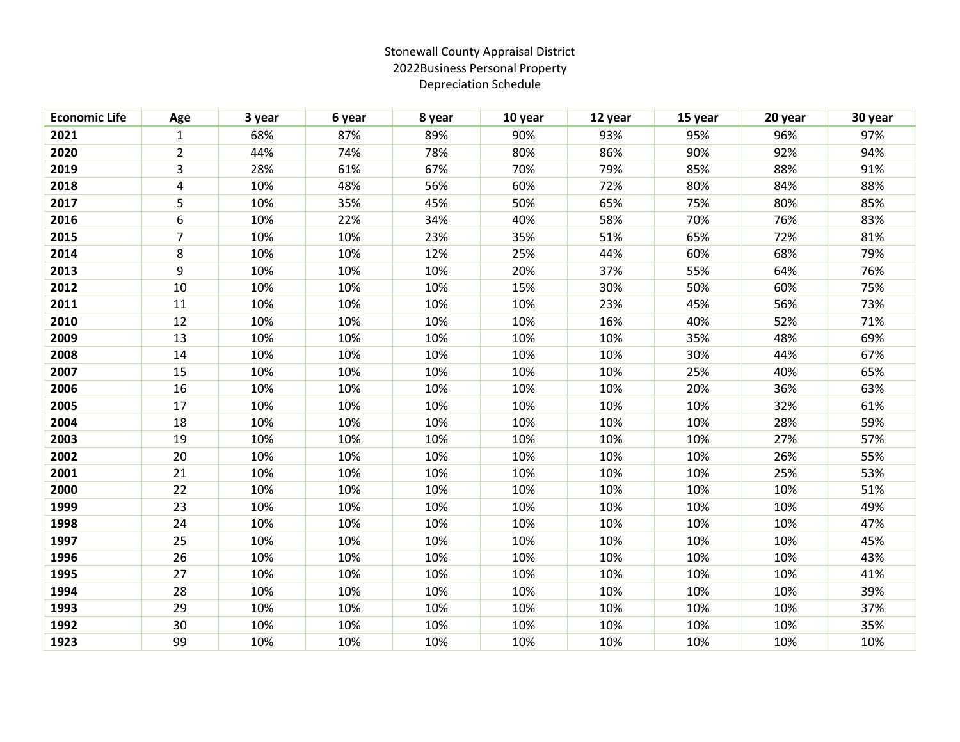## Stonewall County Appraisal District 2022Business Personal Property Depreciation Schedule

| <b>Economic Life</b> | Age            | 3 year | 6 year | 8 year | 10 year | 12 year | 15 year | 20 year | 30 year |
|----------------------|----------------|--------|--------|--------|---------|---------|---------|---------|---------|
| 2021                 | $\mathbf{1}$   | 68%    | 87%    | 89%    | 90%     | 93%     | 95%     | 96%     | 97%     |
| 2020                 | $\overline{2}$ | 44%    | 74%    | 78%    | 80%     | 86%     | 90%     | 92%     | 94%     |
| 2019                 | 3              | 28%    | 61%    | 67%    | 70%     | 79%     | 85%     | 88%     | 91%     |
| 2018                 | 4              | 10%    | 48%    | 56%    | 60%     | 72%     | 80%     | 84%     | 88%     |
| 2017                 | 5              | 10%    | 35%    | 45%    | 50%     | 65%     | 75%     | 80%     | 85%     |
| 2016                 | 6              | 10%    | 22%    | 34%    | 40%     | 58%     | 70%     | 76%     | 83%     |
| 2015                 | $\overline{7}$ | 10%    | 10%    | 23%    | 35%     | 51%     | 65%     | 72%     | 81%     |
| 2014                 | 8              | 10%    | 10%    | 12%    | 25%     | 44%     | 60%     | 68%     | 79%     |
| 2013                 | 9              | 10%    | 10%    | 10%    | 20%     | 37%     | 55%     | 64%     | 76%     |
| 2012                 | 10             | 10%    | 10%    | 10%    | 15%     | 30%     | 50%     | 60%     | 75%     |
| 2011                 | 11             | 10%    | 10%    | 10%    | 10%     | 23%     | 45%     | 56%     | 73%     |
| 2010                 | 12             | 10%    | 10%    | 10%    | 10%     | 16%     | 40%     | 52%     | 71%     |
| 2009                 | 13             | 10%    | 10%    | 10%    | 10%     | 10%     | 35%     | 48%     | 69%     |
| 2008                 | 14             | 10%    | 10%    | 10%    | 10%     | 10%     | 30%     | 44%     | 67%     |
| 2007                 | 15             | 10%    | 10%    | 10%    | 10%     | 10%     | 25%     | 40%     | 65%     |
| 2006                 | 16             | 10%    | 10%    | 10%    | 10%     | 10%     | 20%     | 36%     | 63%     |
| 2005                 | 17             | 10%    | 10%    | 10%    | 10%     | 10%     | 10%     | 32%     | 61%     |
| 2004                 | 18             | 10%    | 10%    | 10%    | 10%     | 10%     | 10%     | 28%     | 59%     |
| 2003                 | 19             | 10%    | 10%    | 10%    | 10%     | 10%     | 10%     | 27%     | 57%     |
| 2002                 | 20             | 10%    | 10%    | 10%    | 10%     | 10%     | 10%     | 26%     | 55%     |
| 2001                 | 21             | 10%    | 10%    | 10%    | 10%     | 10%     | 10%     | 25%     | 53%     |
| 2000                 | 22             | 10%    | 10%    | 10%    | 10%     | 10%     | 10%     | 10%     | 51%     |
| 1999                 | 23             | 10%    | 10%    | 10%    | 10%     | 10%     | 10%     | 10%     | 49%     |
| 1998                 | 24             | 10%    | 10%    | 10%    | 10%     | 10%     | 10%     | 10%     | 47%     |
| 1997                 | 25             | 10%    | 10%    | 10%    | 10%     | 10%     | 10%     | 10%     | 45%     |
| 1996                 | 26             | 10%    | 10%    | 10%    | 10%     | 10%     | 10%     | 10%     | 43%     |
| 1995                 | 27             | 10%    | 10%    | 10%    | 10%     | 10%     | 10%     | 10%     | 41%     |
| 1994                 | 28             | 10%    | 10%    | 10%    | 10%     | 10%     | 10%     | 10%     | 39%     |
| 1993                 | 29             | 10%    | 10%    | 10%    | 10%     | 10%     | 10%     | 10%     | 37%     |
| 1992                 | 30             | 10%    | 10%    | 10%    | 10%     | 10%     | 10%     | 10%     | 35%     |
| 1923                 | 99             | 10%    | 10%    | 10%    | 10%     | 10%     | 10%     | 10%     | 10%     |